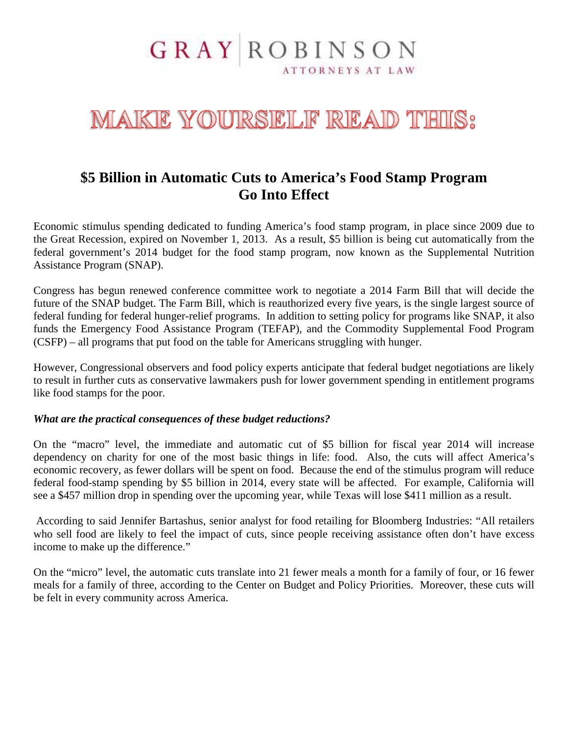## **GRAY ROBINSON** ATTORNEYS AT LAW

# MAKE YOURSELF READ THIS:

## **\$5 Billion in Automatic Cuts to America's Food Stamp Program Go Into Effect**

Economic stimulus spending dedicated to funding America's food stamp program, in place since 2009 due to the Great Recession, expired on November 1, 2013. As a result, \$5 billion is being cut automatically from the federal government's 2014 budget for the food stamp program, now known as the Supplemental Nutrition Assistance Program (SNAP).

Congress has begun renewed conference committee work to negotiate a 2014 Farm Bill that will decide the future of the SNAP budget. The Farm Bill, which is reauthorized every five years, is the single largest source of federal funding for federal hunger-relief programs. In addition to setting policy for programs like SNAP, it also funds the Emergency Food Assistance Program (TEFAP), and the Commodity Supplemental Food Program (CSFP) – all programs that put food on the table for Americans struggling with hunger.

However, Congressional observers and food policy experts anticipate that federal budget negotiations are likely to result in further cuts as conservative lawmakers push for lower government spending in entitlement programs like food stamps for the poor.

#### *What are the practical consequences of these budget reductions?*

On the "macro" level, the immediate and automatic cut of \$5 billion for fiscal year 2014 will increase dependency on charity for one of the most basic things in life: food. Also, the cuts will affect America's economic recovery, as fewer dollars will be spent on food. Because the end of the stimulus program will reduce federal food-stamp spending by \$5 billion in 2014, every state will be affected. For example, California will see a \$457 million drop in spending over the upcoming year, while Texas will lose \$411 million as a result.

 According to said Jennifer Bartashus, senior analyst for food retailing for Bloomberg Industries: "All retailers who sell food are likely to feel the impact of cuts, since people receiving assistance often don't have excess income to make up the difference."

On the "micro" level, the automatic cuts translate into 21 fewer meals a month for a family of four, or 16 fewer meals for a family of three, according to the Center on Budget and Policy Priorities. Moreover, these cuts will be felt in every community across America.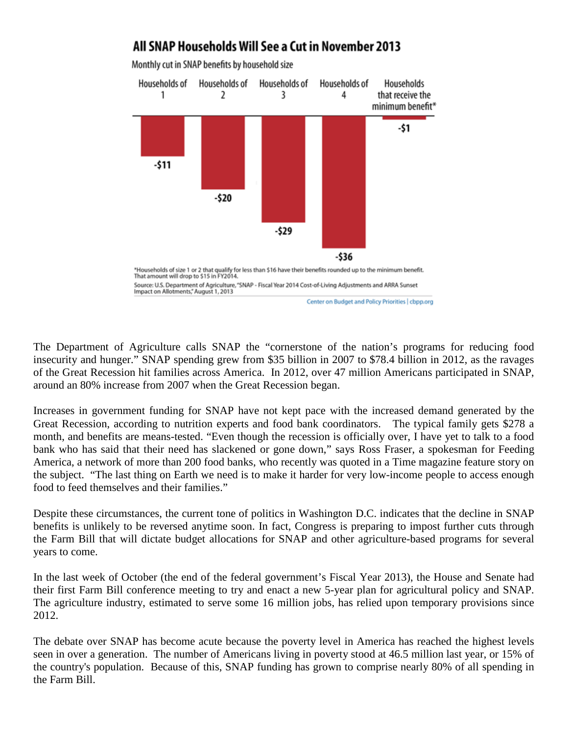

All SNAP Households Will See a Cut in November 2013

The Department of Agriculture calls SNAP the "cornerstone of the nation's programs for reducing food insecurity and hunger." SNAP spending grew from \$35 billion in 2007 to \$78.4 billion in 2012, as the ravages of the Great Recession hit families across America. In 2012, over 47 million Americans participated in SNAP, around an 80% increase from 2007 when the Great Recession began.

Increases in government funding for SNAP have not kept pace with the increased demand generated by the Great Recession, according to nutrition experts and food bank coordinators. The typical family gets \$278 a month, and benefits are means-tested. "Even though the recession is officially over, I have yet to talk to a food bank who has said that their need has slackened or gone down," says Ross Fraser, a spokesman for Feeding America, a network of more than 200 food banks, who recently was quoted in a Time magazine feature story on the subject. "The last thing on Earth we need is to make it harder for very low-income people to access enough food to feed themselves and their families."

Despite these circumstances, the current tone of politics in Washington D.C. indicates that the decline in SNAP benefits is unlikely to be reversed anytime soon. In fact, Congress is preparing to impost further cuts through the Farm Bill that will dictate budget allocations for SNAP and other agriculture-based programs for several years to come.

In the last week of October (the end of the federal government's Fiscal Year 2013), the House and Senate had their first Farm Bill conference meeting to try and enact a new 5-year plan for agricultural policy and SNAP. The agriculture industry, estimated to serve some 16 million jobs, has relied upon temporary provisions since 2012.

The debate over SNAP has become acute because the poverty level in America has reached the highest levels seen in over a generation. The number of Americans living in poverty stood at 46.5 million last year, or 15% of the country's population. Because of this, SNAP funding has grown to comprise nearly 80% of all spending in the Farm Bill.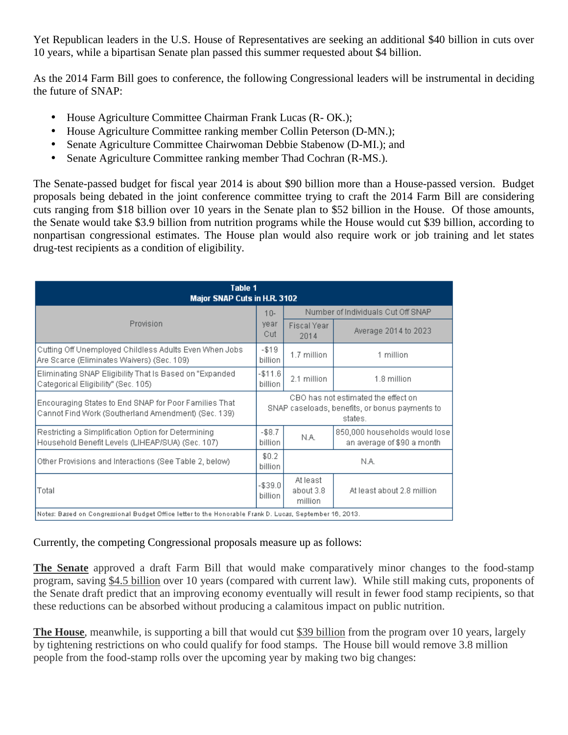Yet Republican leaders in the U.S. House of Representatives are seeking an additional \$40 billion in cuts over 10 years, while a bipartisan Senate plan passed this summer requested about \$4 billion.

As the 2014 Farm Bill goes to conference, the following Congressional leaders will be instrumental in deciding the future of SNAP:

- House Agriculture Committee Chairman Frank Lucas (R- OK.);
- House Agriculture Committee ranking member Collin Peterson (D-MN.);
- Senate Agriculture Committee Chairwoman Debbie Stabenow (D-MI.); and
- Senate Agriculture Committee ranking member Thad Cochran (R-MS.).

The Senate-passed budget for fiscal year 2014 is about \$90 billion more than a House-passed version. Budget proposals being debated in the joint conference committee trying to craft the 2014 Farm Bill are considering cuts ranging from \$18 billion over 10 years in the Senate plan to \$52 billion in the House. Of those amounts, the Senate would take \$3.9 billion from nutrition programs while the House would cut \$39 billion, according to nonpartisan congressional estimates. The House plan would also require work or job training and let states drug-test recipients as a condition of eligibility.

| Table 1<br>Major SNAP Cuts in H.R. 3102                                                                       |                                                                                                  |                                    |                                                             |
|---------------------------------------------------------------------------------------------------------------|--------------------------------------------------------------------------------------------------|------------------------------------|-------------------------------------------------------------|
| Provision                                                                                                     | $10 -$<br>year<br>Cut                                                                            | Number of Individuals Cut Off SNAP |                                                             |
|                                                                                                               |                                                                                                  | Fiscal Year<br>2014                | Average 2014 to 2023                                        |
| Cutting Off Unemployed Childless Adults Even When Jobs<br>Are Scarce (Eliminates Waivers) (Sec. 109).         | $- $19$<br>billion                                                                               | 1.7 million                        | 1 million                                                   |
| Eliminating SNAP Eligibility That Is Based on "Expanded"<br>Categorical Eligibility" (Sec. 105)               | $-$11.6$<br>billion                                                                              | 2.1 million                        | 1.8 million                                                 |
| Encouraging States to End SNAP for Poor Families That<br>Cannot Find Work (Southerland Amendment) (Sec. 139). | CBO has not estimated the effect on<br>SNAP caseloads, benefits, or bonus payments to<br>states. |                                    |                                                             |
| Restricting a Simplification Option for Determining<br>Household Benefit Levels (LIHEAP/SUA) (Sec. 107)       | $-$8.7$<br>billion                                                                               | N.A.                               | 850,000 households would lose<br>an average of \$90 a month |
| Other Provisions and Interactions (See Table 2, below)                                                        | \$0.2<br>billion                                                                                 | N.A.                               |                                                             |
| Total                                                                                                         | $- $39.0$<br>billion                                                                             | At least<br>about 3.8<br>million   | At least about 2.8 million                                  |
| Notes: Based on Congressional Budget Office letter to the Honorable Frank D. Lucas, September 16, 2013.       |                                                                                                  |                                    |                                                             |

Currently, the competing Congressional proposals measure up as follows:

**The Senate** approved a draft Farm Bill that would make comparatively minor changes to the food-stamp program, saving \$4.5 billion over 10 years (compared with current law). While still making cuts, proponents of the Senate draft predict that an improving economy eventually will result in fewer food stamp recipients, so that these reductions can be absorbed without producing a calamitous impact on public nutrition.

**The House**, meanwhile, is supporting a bill that would cut \$39 billion from the program over 10 years, largely by tightening restrictions on who could qualify for food stamps. The House bill would remove 3.8 million people from the food-stamp rolls over the upcoming year by making two big changes: